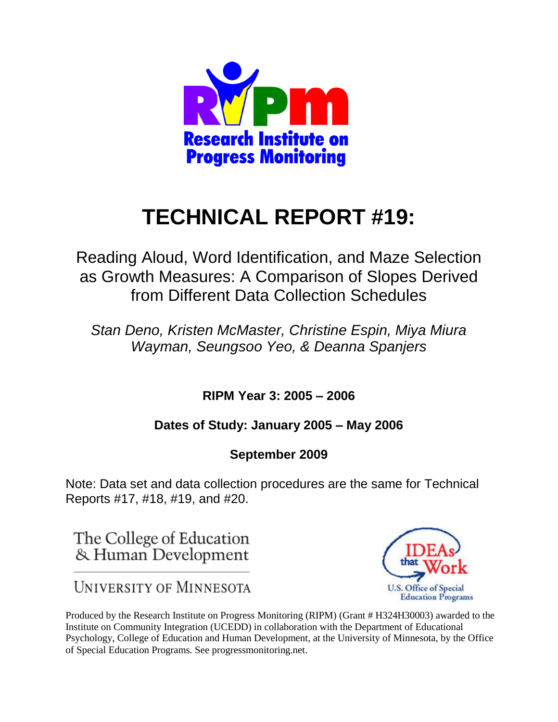

# **TECHNICAL REPORT #19:**

Reading Aloud, Word Identification, and Maze Selection as Growth Measures: A Comparison of Slopes Derived from Different Data Collection Schedules

*Stan Deno, Kristen McMaster, Christine Espin, Miya Miura Wayman, Seungsoo Yeo, & Deanna Spanjers*

**RIPM Year 3: 2005 – 2006** 

## **Dates of Study: January 2005 – May 2006**

## **September 2009**

Note: Data set and data collection procedures are the same for Technical Reports #17, #18, #19, and #20.

The College of Education & Human Development



**UNIVERSITY OF MINNESOTA** 

Produced by the Research Institute on Progress Monitoring (RIPM) (Grant # H324H30003) awarded to the Institute on Community Integration (UCEDD) in collaboration with the Department of Educational Psychology, College of Education and Human Development, at the University of Minnesota, by the Office of Special Education Programs. See progressmonitoring.net.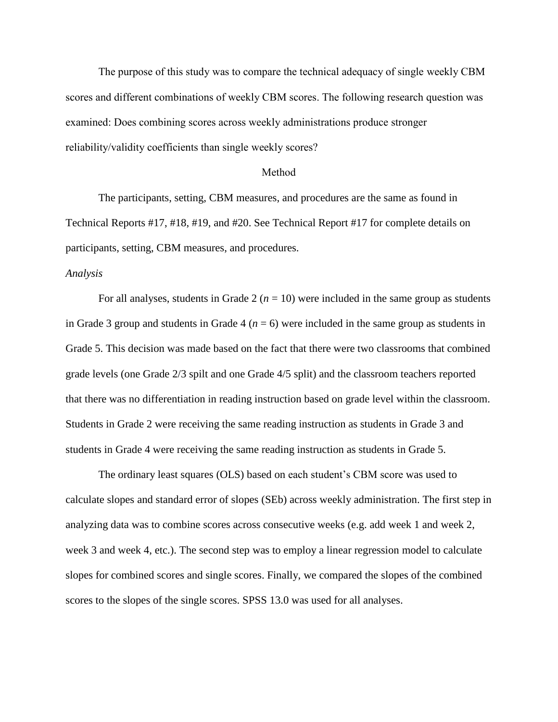The purpose of this study was to compare the technical adequacy of single weekly CBM scores and different combinations of weekly CBM scores. The following research question was examined: Does combining scores across weekly administrations produce stronger reliability/validity coefficients than single weekly scores?

#### Method

The participants, setting, CBM measures, and procedures are the same as found in Technical Reports #17, #18, #19, and #20. See Technical Report #17 for complete details on participants, setting, CBM measures, and procedures.

#### *Analysis*

For all analyses, students in Grade  $2(n = 10)$  were included in the same group as students in Grade 3 group and students in Grade 4 ( $n = 6$ ) were included in the same group as students in Grade 5. This decision was made based on the fact that there were two classrooms that combined grade levels (one Grade 2/3 spilt and one Grade 4/5 split) and the classroom teachers reported that there was no differentiation in reading instruction based on grade level within the classroom. Students in Grade 2 were receiving the same reading instruction as students in Grade 3 and students in Grade 4 were receiving the same reading instruction as students in Grade 5.

The ordinary least squares (OLS) based on each student's CBM score was used to calculate slopes and standard error of slopes (SEb) across weekly administration. The first step in analyzing data was to combine scores across consecutive weeks (e.g. add week 1 and week 2, week 3 and week 4, etc.). The second step was to employ a linear regression model to calculate slopes for combined scores and single scores. Finally, we compared the slopes of the combined scores to the slopes of the single scores. SPSS 13.0 was used for all analyses.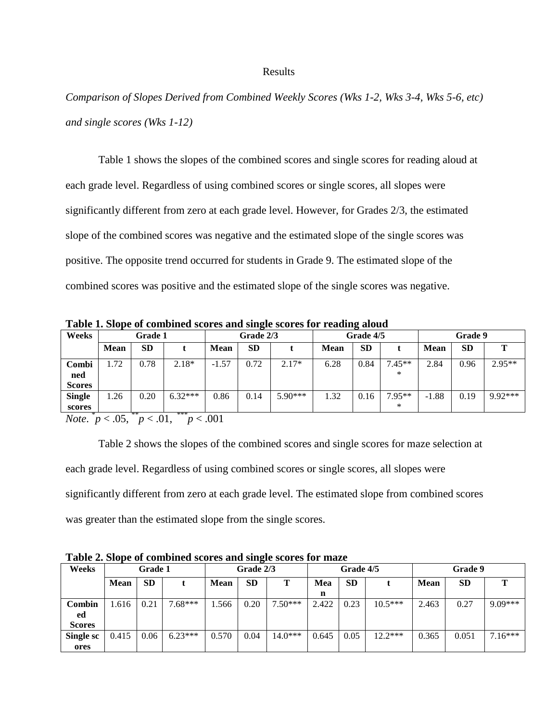#### Results

*Comparison of Slopes Derived from Combined Weekly Scores (Wks 1-2, Wks 3-4, Wks 5-6, etc) and single scores (Wks 1-12)*

Table 1 shows the slopes of the combined scores and single scores for reading aloud at each grade level. Regardless of using combined scores or single scores, all slopes were significantly different from zero at each grade level. However, for Grades 2/3, the estimated slope of the combined scores was negative and the estimated slope of the single scores was positive. The opposite trend occurred for students in Grade 9. The estimated slope of the combined scores was positive and the estimated slope of the single scores was negative.

**Table 1. Slope of combined scores and single scores for reading aloud**

| Weeks                                                       |      | Grade 1                   |           | Grade 2/3  |           |           | Grade 4/5   |           |          | <b>Grade 9</b> |           |           |
|-------------------------------------------------------------|------|---------------------------|-----------|------------|-----------|-----------|-------------|-----------|----------|----------------|-----------|-----------|
|                                                             | Mean | <b>SD</b>                 |           | Mean       | <b>SD</b> |           | <b>Mean</b> | <b>SD</b> |          | <b>Mean</b>    | <b>SD</b> |           |
| Combi                                                       | 1.72 | 0.78                      | $2.18*$   | $-1.57$    | 0.72      | $2.17*$   | 6.28        | 0.84      | $7.45**$ | 2.84           | 0.96      | $2.95**$  |
| ned                                                         |      |                           |           |            |           |           |             |           | ∗        |                |           |           |
| <b>Scores</b>                                               |      |                           |           |            |           |           |             |           |          |                |           |           |
| <b>Single</b>                                               | 1.26 | 0.20                      | $6.32***$ | 0.86       | 0.14      | $5.90***$ | 1.32        | 0.16      | $7.95**$ | $-1.88$        | 0.19      | $9.92***$ |
| scores                                                      |      |                           |           |            |           |           |             |           | ∗        |                |           |           |
| $\overline{M}$ $\overline{M}$ $\overline{M}$ $\overline{M}$ |      | $**$<br>$\sim$ $\sim$ 0.1 | ***       | $\sim$ 001 |           |           |             |           |          |                |           |           |

*Note.*  $p < .05, \frac{p}{p} < .01, \frac{p}{p} < .001$ 

Table 2 shows the slopes of the combined scores and single scores for maze selection at each grade level. Regardless of using combined scores or single scores, all slopes were significantly different from zero at each grade level. The estimated slope from combined scores was greater than the estimated slope from the single scores.

| Weeks         |             | <b>Grade 1</b> |           | Grade 2/3   |           |           | Grade 4/5 |           |           | Grade 9 |           |           |
|---------------|-------------|----------------|-----------|-------------|-----------|-----------|-----------|-----------|-----------|---------|-----------|-----------|
|               | <b>Mean</b> | <b>SD</b>      |           | <b>Mean</b> | <b>SD</b> | Т         | Mea       | <b>SD</b> |           | Mean    | <b>SD</b> |           |
|               |             |                |           |             |           |           | n         |           |           |         |           |           |
| Combin        | 1.616       | 0.21           | $7.68***$ | .566        | 0.20      | $7.50***$ | 2.422     | 0.23      | $10.5***$ | 2.463   | 0.27      | $9.09***$ |
| ed            |             |                |           |             |           |           |           |           |           |         |           |           |
| <b>Scores</b> |             |                |           |             |           |           |           |           |           |         |           |           |
| Single sc     | 0.415       | 0.06           | $6.23***$ | 0.570       | 0.04      | $14.0***$ | 0.645     | 0.05      | $12.2***$ | 0.365   | 0.051     | $7.16***$ |
| ores          |             |                |           |             |           |           |           |           |           |         |           |           |

**Table 2. Slope of combined scores and single scores for maze**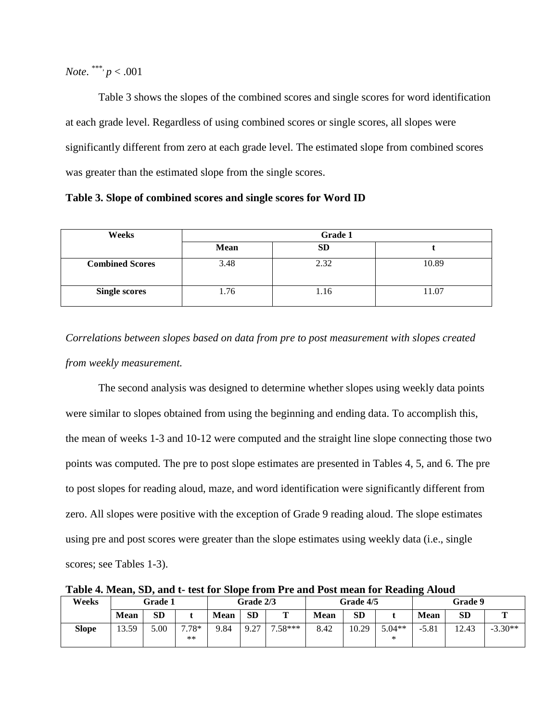*Note*. \*\*\*,  $p < .001$ 

Table 3 shows the slopes of the combined scores and single scores for word identification at each grade level. Regardless of using combined scores or single scores, all slopes were significantly different from zero at each grade level. The estimated slope from combined scores was greater than the estimated slope from the single scores.

**Table 3. Slope of combined scores and single scores for Word ID**

| Weeks                  | Grade 1 |           |       |  |  |  |  |
|------------------------|---------|-----------|-------|--|--|--|--|
|                        | Mean    | <b>SD</b> |       |  |  |  |  |
| <b>Combined Scores</b> | 3.48    | 2.32      | 10.89 |  |  |  |  |
| <b>Single scores</b>   | 1.76    | 1.16      | 11.07 |  |  |  |  |

*Correlations between slopes based on data from pre to post measurement with slopes created from weekly measurement.* 

The second analysis was designed to determine whether slopes using weekly data points were similar to slopes obtained from using the beginning and ending data. To accomplish this, the mean of weeks 1-3 and 10-12 were computed and the straight line slope connecting those two points was computed. The pre to post slope estimates are presented in Tables 4, 5, and 6. The pre to post slopes for reading aloud, maze, and word identification were significantly different from zero. All slopes were positive with the exception of Grade 9 reading aloud. The slope estimates using pre and post scores were greater than the slope estimates using weekly data (i.e., single scores; see Tables 1-3).

**Table 4. Mean, SD, and t- test for Slope from Pre and Post mean for Reading Aloud**

| Weeks | Grade 1     |           | <b>Grade 2/3</b> |             | <b>Grade 4/5</b>                 |                            | Grade 9     |       |                    |             |           |           |
|-------|-------------|-----------|------------------|-------------|----------------------------------|----------------------------|-------------|-------|--------------------|-------------|-----------|-----------|
|       | <b>Mean</b> | <b>SD</b> |                  | <b>Mean</b> | <b>SD</b>                        | m                          | <b>Mean</b> | SD    |                    | <b>Mean</b> | <b>SD</b> | m         |
| Slope | 13.59       | 5.00      | $7.78*$<br>$***$ | 9.84        | 9.27<br>$\overline{\phantom{a}}$ | $.58***$<br>$\overline{ }$ | 8.42        | 10.29 | $5.04**$<br>$\ast$ | $-5.81$     | 12.43     | $-3.30**$ |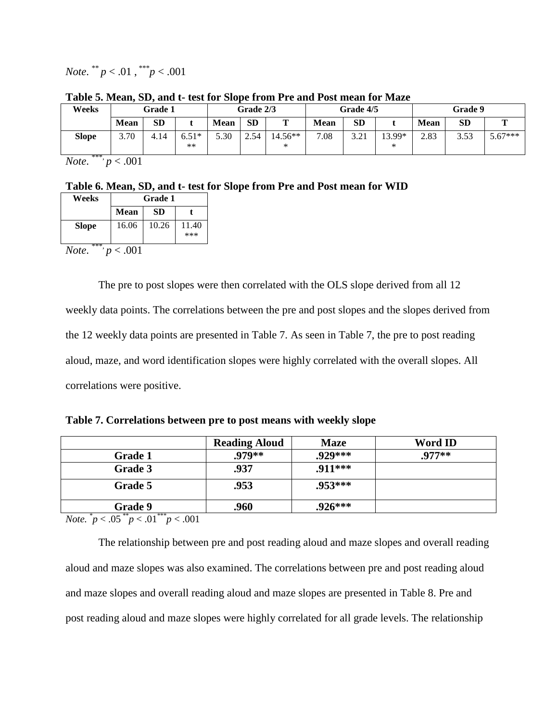*Note.*  $*^{*}p < .01$ ,  $*^{**}p < .001$ 

| Weeks        | Grade 1     |           |         | <b>Grade 2/3</b> |           | <b>Grade 4/5</b> |      |           | <b>Grade 9</b> |      |           |           |
|--------------|-------------|-----------|---------|------------------|-----------|------------------|------|-----------|----------------|------|-----------|-----------|
|              | <b>Mean</b> | <b>SD</b> |         | <b>Mean</b>      | <b>SD</b> | m                | Mean | <b>SD</b> |                | Mean | <b>SD</b> |           |
| <b>Slope</b> | 3.70        | 4.14      | $6.51*$ | 5.30             | 2.54      | $14.56**$        | 7.08 | 3.21      | $13.99*$       | 2.83 | 3.53      | $5.67***$ |
| ***          |             |           | $**$    |                  |           | ∗                |      |           | ∗              |      |           |           |

**Table 5. Mean, SD, and t- test for Slope from Pre and Post mean for Maze**

*Note*. \*\*\*, *p* < .001

**Table 6. Mean, SD, and t- test for Slope from Pre and Post mean for WID**

| Weeks                       | <b>Grade 1</b> |       |              |  |  |  |  |  |
|-----------------------------|----------------|-------|--------------|--|--|--|--|--|
|                             | <b>Mean</b>    | SD    |              |  |  |  |  |  |
| <b>Slope</b>                | 16.06          | 10.26 | 11.40<br>*** |  |  |  |  |  |
| ***<br>Note.<br>$\leq .001$ |                |       |              |  |  |  |  |  |

The pre to post slopes were then correlated with the OLS slope derived from all 12 weekly data points. The correlations between the pre and post slopes and the slopes derived from the 12 weekly data points are presented in Table 7. As seen in Table 7, the pre to post reading aloud, maze, and word identification slopes were highly correlated with the overall slopes. All correlations were positive.

**Table 7. Correlations between pre to post means with weekly slope** 

|                                            | <b>Reading Aloud</b> | <b>Maze</b> | Word ID  |
|--------------------------------------------|----------------------|-------------|----------|
| <b>Grade 1</b>                             | .979**               | .929***     | $.977**$ |
| Grade 3                                    | .937                 | .911***     |          |
| Grade 5                                    | .953                 | $.953***$   |          |
| <b>Grade 9</b><br>$* * *$<br>$\rightarrow$ | .960                 | $.926***$   |          |

*Note.*  $\degree p < .05 \degree p < .01 \degree p < .001$ 

The relationship between pre and post reading aloud and maze slopes and overall reading aloud and maze slopes was also examined. The correlations between pre and post reading aloud and maze slopes and overall reading aloud and maze slopes are presented in Table 8. Pre and post reading aloud and maze slopes were highly correlated for all grade levels. The relationship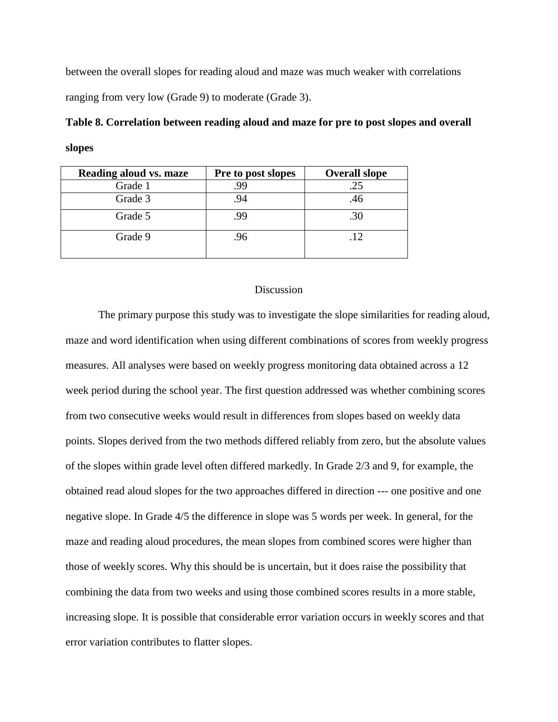between the overall slopes for reading aloud and maze was much weaker with correlations ranging from very low (Grade 9) to moderate (Grade 3).

|        |  |  | Table 8. Correlation between reading aloud and maze for pre to post slopes and overall |  |
|--------|--|--|----------------------------------------------------------------------------------------|--|
| slopes |  |  |                                                                                        |  |

| Reading aloud vs. maze | Pre to post slopes | <b>Overall slope</b> |
|------------------------|--------------------|----------------------|
| Grade 1                | .99                | .25                  |
| Grade 3                | .94                | .46                  |
| Grade 5                | .99                | .30                  |
| Grade 9                | .96                | .12                  |

### Discussion

The primary purpose this study was to investigate the slope similarities for reading aloud, maze and word identification when using different combinations of scores from weekly progress measures. All analyses were based on weekly progress monitoring data obtained across a 12 week period during the school year. The first question addressed was whether combining scores from two consecutive weeks would result in differences from slopes based on weekly data points. Slopes derived from the two methods differed reliably from zero, but the absolute values of the slopes within grade level often differed markedly. In Grade 2/3 and 9, for example, the obtained read aloud slopes for the two approaches differed in direction --- one positive and one negative slope. In Grade 4/5 the difference in slope was 5 words per week. In general, for the maze and reading aloud procedures, the mean slopes from combined scores were higher than those of weekly scores. Why this should be is uncertain, but it does raise the possibility that combining the data from two weeks and using those combined scores results in a more stable, increasing slope. It is possible that considerable error variation occurs in weekly scores and that error variation contributes to flatter slopes.